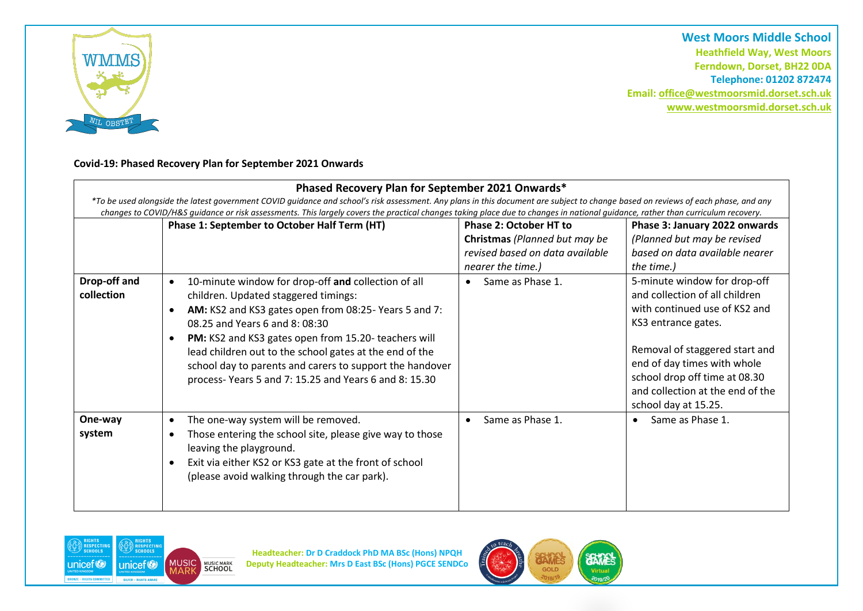

**West Moors Middle School Heathfield Way, West Moors Ferndown, Dorset, BH22 0DA Telephone: 01202 872474 Email[: office@westmoorsmid.dorset.sch.uk](mailto:office@westmoorsmid.dorset.sch.uk) www.westmoorsmid.dorset.sch.uk**

## **Covid-19: Phased Recovery Plan for September 2021 Onwards**

|                            | Phased Recovery Plan for September 2021 Onwards*<br>*To be used alongside the latest government COVID guidance and school's risk assessment. Any plans in this document are subject to change based on reviews of each phase, and any                                                                                                                                                                                                                               |                                                                                                                        |                                                                                                                                                                                                                                                                                      |
|----------------------------|---------------------------------------------------------------------------------------------------------------------------------------------------------------------------------------------------------------------------------------------------------------------------------------------------------------------------------------------------------------------------------------------------------------------------------------------------------------------|------------------------------------------------------------------------------------------------------------------------|--------------------------------------------------------------------------------------------------------------------------------------------------------------------------------------------------------------------------------------------------------------------------------------|
|                            | changes to COVID/H&S guidance or risk assessments. This largely covers the practical changes taking place due to changes in national guidance, rather than curriculum recovery.<br>Phase 1: September to October Half Term (HT)                                                                                                                                                                                                                                     | <b>Phase 2: October HT to</b><br>Christmas (Planned but may be<br>revised based on data available<br>nearer the time.) | Phase 3: January 2022 onwards<br>(Planned but may be revised<br>based on data available nearer<br>the time.)                                                                                                                                                                         |
| Drop-off and<br>collection | 10-minute window for drop-off and collection of all<br>$\bullet$<br>children. Updated staggered timings:<br>AM: KS2 and KS3 gates open from 08:25-Years 5 and 7:<br>$\bullet$<br>08.25 and Years 6 and 8:08:30<br>PM: KS2 and KS3 gates open from 15.20- teachers will<br>$\bullet$<br>lead children out to the school gates at the end of the<br>school day to parents and carers to support the handover<br>process-Years 5 and 7: 15.25 and Years 6 and 8: 15.30 | Same as Phase 1.<br>$\bullet$                                                                                          | 5-minute window for drop-off<br>and collection of all children<br>with continued use of KS2 and<br>KS3 entrance gates.<br>Removal of staggered start and<br>end of day times with whole<br>school drop off time at 08.30<br>and collection at the end of the<br>school day at 15.25. |
| One-way<br>system          | The one-way system will be removed.<br>$\bullet$<br>Those entering the school site, please give way to those<br>$\bullet$<br>leaving the playground.<br>Exit via either KS2 or KS3 gate at the front of school<br>$\bullet$<br>(please avoid walking through the car park).                                                                                                                                                                                         | Same as Phase 1.<br>$\bullet$                                                                                          | Same as Phase 1.<br>$\bullet$                                                                                                                                                                                                                                                        |



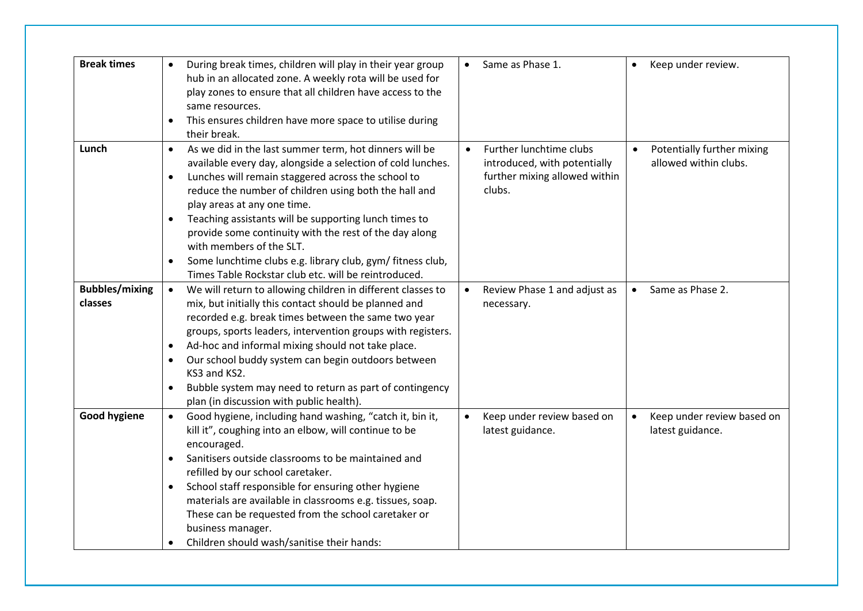| <b>Break times</b>               | $\bullet$<br>$\bullet$              | During break times, children will play in their year group<br>hub in an allocated zone. A weekly rota will be used for<br>play zones to ensure that all children have access to the<br>same resources.<br>This ensures children have more space to utilise during<br>their break.                                                                                                      | $\bullet$ | Same as Phase 1.                                                                                   |           | Keep under review.                                  |
|----------------------------------|-------------------------------------|----------------------------------------------------------------------------------------------------------------------------------------------------------------------------------------------------------------------------------------------------------------------------------------------------------------------------------------------------------------------------------------|-----------|----------------------------------------------------------------------------------------------------|-----------|-----------------------------------------------------|
| Lunch                            | $\bullet$<br>$\bullet$<br>$\bullet$ | As we did in the last summer term, hot dinners will be<br>available every day, alongside a selection of cold lunches.<br>Lunches will remain staggered across the school to<br>reduce the number of children using both the hall and<br>play areas at any one time.<br>Teaching assistants will be supporting lunch times to<br>provide some continuity with the rest of the day along | $\bullet$ | Further lunchtime clubs<br>introduced, with potentially<br>further mixing allowed within<br>clubs. | $\bullet$ | Potentially further mixing<br>allowed within clubs. |
|                                  | $\bullet$                           | with members of the SLT.<br>Some lunchtime clubs e.g. library club, gym/ fitness club,<br>Times Table Rockstar club etc. will be reintroduced.                                                                                                                                                                                                                                         |           |                                                                                                    |           |                                                     |
| <b>Bubbles/mixing</b><br>classes | $\bullet$                           | We will return to allowing children in different classes to<br>mix, but initially this contact should be planned and<br>recorded e.g. break times between the same two year<br>groups, sports leaders, intervention groups with registers.                                                                                                                                             |           | Review Phase 1 and adjust as<br>necessary.                                                         | $\bullet$ | Same as Phase 2.                                    |
|                                  | $\bullet$<br>$\bullet$<br>$\bullet$ | Ad-hoc and informal mixing should not take place.<br>Our school buddy system can begin outdoors between<br>KS3 and KS2.<br>Bubble system may need to return as part of contingency                                                                                                                                                                                                     |           |                                                                                                    |           |                                                     |
| <b>Good hygiene</b>              | $\bullet$                           | plan (in discussion with public health).<br>Good hygiene, including hand washing, "catch it, bin it,<br>kill it", coughing into an elbow, will continue to be<br>encouraged.                                                                                                                                                                                                           | $\bullet$ | Keep under review based on<br>latest guidance.                                                     | $\bullet$ | Keep under review based on<br>latest guidance.      |
|                                  | $\bullet$                           | Sanitisers outside classrooms to be maintained and<br>refilled by our school caretaker.<br>School staff responsible for ensuring other hygiene<br>materials are available in classrooms e.g. tissues, soap.<br>These can be requested from the school caretaker or                                                                                                                     |           |                                                                                                    |           |                                                     |
|                                  | $\bullet$                           | business manager.<br>Children should wash/sanitise their hands:                                                                                                                                                                                                                                                                                                                        |           |                                                                                                    |           |                                                     |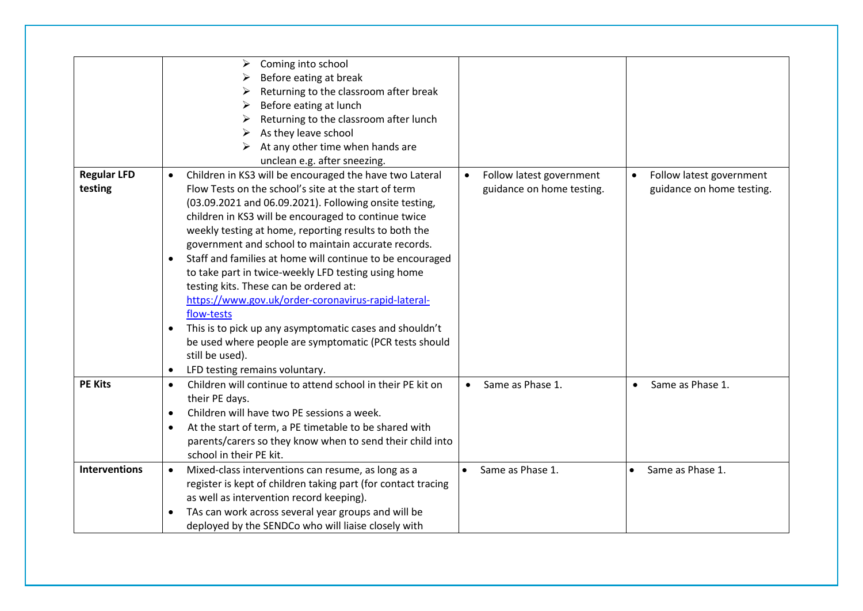| Before eating at break<br>Returning to the classroom after break<br>Before eating at lunch<br>Returning to the classroom after lunch<br>As they leave school<br>➤<br>At any other time when hands are<br>unclean e.g. after sneezing.<br><b>Regular LFD</b><br>Children in KS3 will be encouraged the have two Lateral<br>Follow latest government<br>Follow latest government<br>$\bullet$<br>$\bullet$<br>testing<br>Flow Tests on the school's site at the start of term<br>guidance on home testing.<br>guidance on home testing.<br>(03.09.2021 and 06.09.2021). Following onsite testing,<br>children in KS3 will be encouraged to continue twice<br>weekly testing at home, reporting results to both the<br>government and school to maintain accurate records.<br>Staff and families at home will continue to be encouraged<br>$\bullet$<br>to take part in twice-weekly LFD testing using home<br>testing kits. These can be ordered at:<br>https://www.gov.uk/order-coronavirus-rapid-lateral-<br>flow-tests<br>This is to pick up any asymptomatic cases and shouldn't<br>$\bullet$<br>be used where people are symptomatic (PCR tests should<br>still be used).<br>LFD testing remains voluntary.<br>$\bullet$<br><b>PE Kits</b><br>Children will continue to attend school in their PE kit on<br>Same as Phase 1.<br>Same as Phase 1.<br>$\bullet$<br>$\bullet$<br>$\bullet$<br>their PE days.<br>Children will have two PE sessions a week.<br>$\bullet$<br>At the start of term, a PE timetable to be shared with<br>$\bullet$<br>parents/carers so they know when to send their child into<br>school in their PE kit.<br><b>Interventions</b><br>Same as Phase 1.<br>Mixed-class interventions can resume, as long as a<br>Same as Phase 1.<br>$\bullet$<br>register is kept of children taking part (for contact tracing<br>as well as intervention record keeping).<br>TAs can work across several year groups and will be<br>$\bullet$ | Coming into school<br>➤                             |  |
|------------------------------------------------------------------------------------------------------------------------------------------------------------------------------------------------------------------------------------------------------------------------------------------------------------------------------------------------------------------------------------------------------------------------------------------------------------------------------------------------------------------------------------------------------------------------------------------------------------------------------------------------------------------------------------------------------------------------------------------------------------------------------------------------------------------------------------------------------------------------------------------------------------------------------------------------------------------------------------------------------------------------------------------------------------------------------------------------------------------------------------------------------------------------------------------------------------------------------------------------------------------------------------------------------------------------------------------------------------------------------------------------------------------------------------------------------------------------------------------------------------------------------------------------------------------------------------------------------------------------------------------------------------------------------------------------------------------------------------------------------------------------------------------------------------------------------------------------------------------------------------------------------------------------------------------------------------|-----------------------------------------------------|--|
|                                                                                                                                                                                                                                                                                                                                                                                                                                                                                                                                                                                                                                                                                                                                                                                                                                                                                                                                                                                                                                                                                                                                                                                                                                                                                                                                                                                                                                                                                                                                                                                                                                                                                                                                                                                                                                                                                                                                                            |                                                     |  |
|                                                                                                                                                                                                                                                                                                                                                                                                                                                                                                                                                                                                                                                                                                                                                                                                                                                                                                                                                                                                                                                                                                                                                                                                                                                                                                                                                                                                                                                                                                                                                                                                                                                                                                                                                                                                                                                                                                                                                            |                                                     |  |
|                                                                                                                                                                                                                                                                                                                                                                                                                                                                                                                                                                                                                                                                                                                                                                                                                                                                                                                                                                                                                                                                                                                                                                                                                                                                                                                                                                                                                                                                                                                                                                                                                                                                                                                                                                                                                                                                                                                                                            |                                                     |  |
|                                                                                                                                                                                                                                                                                                                                                                                                                                                                                                                                                                                                                                                                                                                                                                                                                                                                                                                                                                                                                                                                                                                                                                                                                                                                                                                                                                                                                                                                                                                                                                                                                                                                                                                                                                                                                                                                                                                                                            |                                                     |  |
|                                                                                                                                                                                                                                                                                                                                                                                                                                                                                                                                                                                                                                                                                                                                                                                                                                                                                                                                                                                                                                                                                                                                                                                                                                                                                                                                                                                                                                                                                                                                                                                                                                                                                                                                                                                                                                                                                                                                                            |                                                     |  |
|                                                                                                                                                                                                                                                                                                                                                                                                                                                                                                                                                                                                                                                                                                                                                                                                                                                                                                                                                                                                                                                                                                                                                                                                                                                                                                                                                                                                                                                                                                                                                                                                                                                                                                                                                                                                                                                                                                                                                            |                                                     |  |
|                                                                                                                                                                                                                                                                                                                                                                                                                                                                                                                                                                                                                                                                                                                                                                                                                                                                                                                                                                                                                                                                                                                                                                                                                                                                                                                                                                                                                                                                                                                                                                                                                                                                                                                                                                                                                                                                                                                                                            |                                                     |  |
|                                                                                                                                                                                                                                                                                                                                                                                                                                                                                                                                                                                                                                                                                                                                                                                                                                                                                                                                                                                                                                                                                                                                                                                                                                                                                                                                                                                                                                                                                                                                                                                                                                                                                                                                                                                                                                                                                                                                                            |                                                     |  |
|                                                                                                                                                                                                                                                                                                                                                                                                                                                                                                                                                                                                                                                                                                                                                                                                                                                                                                                                                                                                                                                                                                                                                                                                                                                                                                                                                                                                                                                                                                                                                                                                                                                                                                                                                                                                                                                                                                                                                            |                                                     |  |
|                                                                                                                                                                                                                                                                                                                                                                                                                                                                                                                                                                                                                                                                                                                                                                                                                                                                                                                                                                                                                                                                                                                                                                                                                                                                                                                                                                                                                                                                                                                                                                                                                                                                                                                                                                                                                                                                                                                                                            |                                                     |  |
|                                                                                                                                                                                                                                                                                                                                                                                                                                                                                                                                                                                                                                                                                                                                                                                                                                                                                                                                                                                                                                                                                                                                                                                                                                                                                                                                                                                                                                                                                                                                                                                                                                                                                                                                                                                                                                                                                                                                                            |                                                     |  |
|                                                                                                                                                                                                                                                                                                                                                                                                                                                                                                                                                                                                                                                                                                                                                                                                                                                                                                                                                                                                                                                                                                                                                                                                                                                                                                                                                                                                                                                                                                                                                                                                                                                                                                                                                                                                                                                                                                                                                            |                                                     |  |
|                                                                                                                                                                                                                                                                                                                                                                                                                                                                                                                                                                                                                                                                                                                                                                                                                                                                                                                                                                                                                                                                                                                                                                                                                                                                                                                                                                                                                                                                                                                                                                                                                                                                                                                                                                                                                                                                                                                                                            |                                                     |  |
|                                                                                                                                                                                                                                                                                                                                                                                                                                                                                                                                                                                                                                                                                                                                                                                                                                                                                                                                                                                                                                                                                                                                                                                                                                                                                                                                                                                                                                                                                                                                                                                                                                                                                                                                                                                                                                                                                                                                                            |                                                     |  |
|                                                                                                                                                                                                                                                                                                                                                                                                                                                                                                                                                                                                                                                                                                                                                                                                                                                                                                                                                                                                                                                                                                                                                                                                                                                                                                                                                                                                                                                                                                                                                                                                                                                                                                                                                                                                                                                                                                                                                            |                                                     |  |
|                                                                                                                                                                                                                                                                                                                                                                                                                                                                                                                                                                                                                                                                                                                                                                                                                                                                                                                                                                                                                                                                                                                                                                                                                                                                                                                                                                                                                                                                                                                                                                                                                                                                                                                                                                                                                                                                                                                                                            |                                                     |  |
|                                                                                                                                                                                                                                                                                                                                                                                                                                                                                                                                                                                                                                                                                                                                                                                                                                                                                                                                                                                                                                                                                                                                                                                                                                                                                                                                                                                                                                                                                                                                                                                                                                                                                                                                                                                                                                                                                                                                                            |                                                     |  |
|                                                                                                                                                                                                                                                                                                                                                                                                                                                                                                                                                                                                                                                                                                                                                                                                                                                                                                                                                                                                                                                                                                                                                                                                                                                                                                                                                                                                                                                                                                                                                                                                                                                                                                                                                                                                                                                                                                                                                            |                                                     |  |
|                                                                                                                                                                                                                                                                                                                                                                                                                                                                                                                                                                                                                                                                                                                                                                                                                                                                                                                                                                                                                                                                                                                                                                                                                                                                                                                                                                                                                                                                                                                                                                                                                                                                                                                                                                                                                                                                                                                                                            |                                                     |  |
|                                                                                                                                                                                                                                                                                                                                                                                                                                                                                                                                                                                                                                                                                                                                                                                                                                                                                                                                                                                                                                                                                                                                                                                                                                                                                                                                                                                                                                                                                                                                                                                                                                                                                                                                                                                                                                                                                                                                                            |                                                     |  |
|                                                                                                                                                                                                                                                                                                                                                                                                                                                                                                                                                                                                                                                                                                                                                                                                                                                                                                                                                                                                                                                                                                                                                                                                                                                                                                                                                                                                                                                                                                                                                                                                                                                                                                                                                                                                                                                                                                                                                            |                                                     |  |
|                                                                                                                                                                                                                                                                                                                                                                                                                                                                                                                                                                                                                                                                                                                                                                                                                                                                                                                                                                                                                                                                                                                                                                                                                                                                                                                                                                                                                                                                                                                                                                                                                                                                                                                                                                                                                                                                                                                                                            |                                                     |  |
|                                                                                                                                                                                                                                                                                                                                                                                                                                                                                                                                                                                                                                                                                                                                                                                                                                                                                                                                                                                                                                                                                                                                                                                                                                                                                                                                                                                                                                                                                                                                                                                                                                                                                                                                                                                                                                                                                                                                                            |                                                     |  |
|                                                                                                                                                                                                                                                                                                                                                                                                                                                                                                                                                                                                                                                                                                                                                                                                                                                                                                                                                                                                                                                                                                                                                                                                                                                                                                                                                                                                                                                                                                                                                                                                                                                                                                                                                                                                                                                                                                                                                            |                                                     |  |
|                                                                                                                                                                                                                                                                                                                                                                                                                                                                                                                                                                                                                                                                                                                                                                                                                                                                                                                                                                                                                                                                                                                                                                                                                                                                                                                                                                                                                                                                                                                                                                                                                                                                                                                                                                                                                                                                                                                                                            |                                                     |  |
|                                                                                                                                                                                                                                                                                                                                                                                                                                                                                                                                                                                                                                                                                                                                                                                                                                                                                                                                                                                                                                                                                                                                                                                                                                                                                                                                                                                                                                                                                                                                                                                                                                                                                                                                                                                                                                                                                                                                                            |                                                     |  |
|                                                                                                                                                                                                                                                                                                                                                                                                                                                                                                                                                                                                                                                                                                                                                                                                                                                                                                                                                                                                                                                                                                                                                                                                                                                                                                                                                                                                                                                                                                                                                                                                                                                                                                                                                                                                                                                                                                                                                            |                                                     |  |
|                                                                                                                                                                                                                                                                                                                                                                                                                                                                                                                                                                                                                                                                                                                                                                                                                                                                                                                                                                                                                                                                                                                                                                                                                                                                                                                                                                                                                                                                                                                                                                                                                                                                                                                                                                                                                                                                                                                                                            |                                                     |  |
|                                                                                                                                                                                                                                                                                                                                                                                                                                                                                                                                                                                                                                                                                                                                                                                                                                                                                                                                                                                                                                                                                                                                                                                                                                                                                                                                                                                                                                                                                                                                                                                                                                                                                                                                                                                                                                                                                                                                                            |                                                     |  |
|                                                                                                                                                                                                                                                                                                                                                                                                                                                                                                                                                                                                                                                                                                                                                                                                                                                                                                                                                                                                                                                                                                                                                                                                                                                                                                                                                                                                                                                                                                                                                                                                                                                                                                                                                                                                                                                                                                                                                            |                                                     |  |
|                                                                                                                                                                                                                                                                                                                                                                                                                                                                                                                                                                                                                                                                                                                                                                                                                                                                                                                                                                                                                                                                                                                                                                                                                                                                                                                                                                                                                                                                                                                                                                                                                                                                                                                                                                                                                                                                                                                                                            |                                                     |  |
|                                                                                                                                                                                                                                                                                                                                                                                                                                                                                                                                                                                                                                                                                                                                                                                                                                                                                                                                                                                                                                                                                                                                                                                                                                                                                                                                                                                                                                                                                                                                                                                                                                                                                                                                                                                                                                                                                                                                                            |                                                     |  |
|                                                                                                                                                                                                                                                                                                                                                                                                                                                                                                                                                                                                                                                                                                                                                                                                                                                                                                                                                                                                                                                                                                                                                                                                                                                                                                                                                                                                                                                                                                                                                                                                                                                                                                                                                                                                                                                                                                                                                            |                                                     |  |
|                                                                                                                                                                                                                                                                                                                                                                                                                                                                                                                                                                                                                                                                                                                                                                                                                                                                                                                                                                                                                                                                                                                                                                                                                                                                                                                                                                                                                                                                                                                                                                                                                                                                                                                                                                                                                                                                                                                                                            | deployed by the SENDCo who will liaise closely with |  |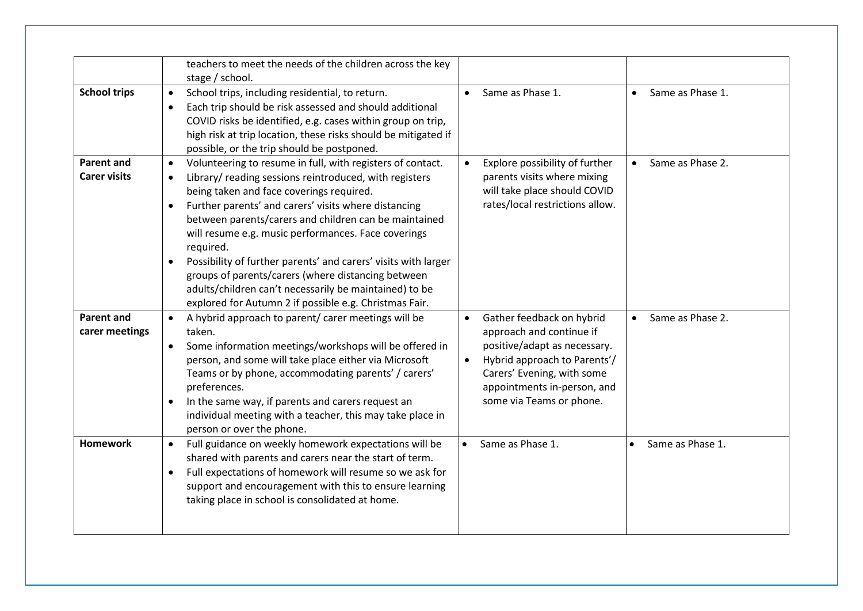|                                          | teachers to meet the needs of the children across the key<br>stage / school.                                                                                                                                                                                                                                                                                                                                                                                                                                                                                                                                                             |                                                                                                                                                                                                                                          |                               |
|------------------------------------------|------------------------------------------------------------------------------------------------------------------------------------------------------------------------------------------------------------------------------------------------------------------------------------------------------------------------------------------------------------------------------------------------------------------------------------------------------------------------------------------------------------------------------------------------------------------------------------------------------------------------------------------|------------------------------------------------------------------------------------------------------------------------------------------------------------------------------------------------------------------------------------------|-------------------------------|
| <b>School trips</b>                      | School trips, including residential, to return.<br>$\bullet$<br>Each trip should be risk assessed and should additional<br>$\bullet$<br>COVID risks be identified, e.g. cases within group on trip,<br>high risk at trip location, these risks should be mitigated if<br>possible, or the trip should be postponed.                                                                                                                                                                                                                                                                                                                      | Same as Phase 1.<br>$\bullet$                                                                                                                                                                                                            | Same as Phase 1.<br>$\bullet$ |
| <b>Parent and</b><br><b>Carer visits</b> | Volunteering to resume in full, with registers of contact.<br>$\bullet$<br>Library/ reading sessions reintroduced, with registers<br>$\bullet$<br>being taken and face coverings required.<br>Further parents' and carers' visits where distancing<br>$\bullet$<br>between parents/carers and children can be maintained<br>will resume e.g. music performances. Face coverings<br>required.<br>Possibility of further parents' and carers' visits with larger<br>groups of parents/carers (where distancing between<br>adults/children can't necessarily be maintained) to be<br>explored for Autumn 2 if possible e.g. Christmas Fair. | Explore possibility of further<br>parents visits where mixing<br>will take place should COVID<br>rates/local restrictions allow.                                                                                                         | Same as Phase 2.<br>$\bullet$ |
| <b>Parent and</b><br>carer meetings      | A hybrid approach to parent/ carer meetings will be<br>$\bullet$<br>taken.<br>Some information meetings/workshops will be offered in<br>$\bullet$<br>person, and some will take place either via Microsoft<br>Teams or by phone, accommodating parents' / carers'<br>preferences.<br>In the same way, if parents and carers request an<br>$\bullet$<br>individual meeting with a teacher, this may take place in<br>person or over the phone.                                                                                                                                                                                            | Gather feedback on hybrid<br>$\bullet$<br>approach and continue if<br>positive/adapt as necessary.<br>Hybrid approach to Parents'/<br>$\bullet$<br>Carers' Evening, with some<br>appointments in-person, and<br>some via Teams or phone. | Same as Phase 2.<br>$\bullet$ |
| <b>Homework</b>                          | Full guidance on weekly homework expectations will be<br>$\bullet$<br>shared with parents and carers near the start of term.<br>Full expectations of homework will resume so we ask for<br>$\bullet$<br>support and encouragement with this to ensure learning<br>taking place in school is consolidated at home.                                                                                                                                                                                                                                                                                                                        | Same as Phase 1.<br>$\bullet$                                                                                                                                                                                                            | Same as Phase 1.              |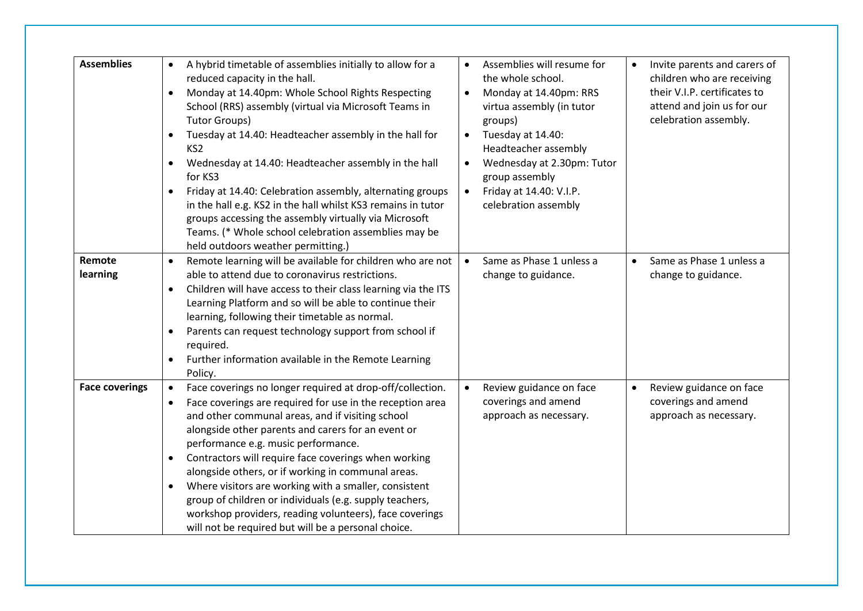| <b>Assemblies</b>     | A hybrid timetable of assemblies initially to allow for a<br>$\bullet$<br>reduced capacity in the hall.<br>Monday at 14.40pm: Whole School Rights Respecting<br>$\bullet$<br>School (RRS) assembly (virtual via Microsoft Teams in<br><b>Tutor Groups)</b><br>Tuesday at 14.40: Headteacher assembly in the hall for<br>KS <sub>2</sub><br>Wednesday at 14.40: Headteacher assembly in the hall<br>٠<br>for KS3<br>Friday at 14.40: Celebration assembly, alternating groups<br>$\bullet$<br>in the hall e.g. KS2 in the hall whilst KS3 remains in tutor<br>groups accessing the assembly virtually via Microsoft<br>Teams. (* Whole school celebration assemblies may be<br>held outdoors weather permitting.) | Assemblies will resume for<br>the whole school.<br>Monday at 14.40pm: RRS<br>$\bullet$<br>virtua assembly (in tutor<br>groups)<br>Tuesday at 14.40:<br>Headteacher assembly<br>Wednesday at 2.30pm: Tutor<br>$\bullet$<br>group assembly<br>Friday at 14.40: V.I.P.<br>$\bullet$<br>celebration assembly | Invite parents and carers of<br>$\bullet$<br>children who are receiving<br>their V.I.P. certificates to<br>attend and join us for our<br>celebration assembly. |
|-----------------------|------------------------------------------------------------------------------------------------------------------------------------------------------------------------------------------------------------------------------------------------------------------------------------------------------------------------------------------------------------------------------------------------------------------------------------------------------------------------------------------------------------------------------------------------------------------------------------------------------------------------------------------------------------------------------------------------------------------|----------------------------------------------------------------------------------------------------------------------------------------------------------------------------------------------------------------------------------------------------------------------------------------------------------|----------------------------------------------------------------------------------------------------------------------------------------------------------------|
| Remote<br>learning    | Remote learning will be available for children who are not<br>able to attend due to coronavirus restrictions.<br>Children will have access to their class learning via the ITS<br>$\bullet$<br>Learning Platform and so will be able to continue their<br>learning, following their timetable as normal.<br>Parents can request technology support from school if<br>$\bullet$<br>required.<br>Further information available in the Remote Learning<br>$\bullet$<br>Policy.                                                                                                                                                                                                                                      | Same as Phase 1 unless a<br>change to guidance.                                                                                                                                                                                                                                                          | Same as Phase 1 unless a<br>$\bullet$<br>change to guidance.                                                                                                   |
| <b>Face coverings</b> | Face coverings no longer required at drop-off/collection.<br>$\bullet$<br>Face coverings are required for use in the reception area<br>$\bullet$<br>and other communal areas, and if visiting school<br>alongside other parents and carers for an event or<br>performance e.g. music performance.<br>Contractors will require face coverings when working<br>$\bullet$<br>alongside others, or if working in communal areas.<br>Where visitors are working with a smaller, consistent<br>$\bullet$<br>group of children or individuals (e.g. supply teachers,<br>workshop providers, reading volunteers), face coverings<br>will not be required but will be a personal choice.                                  | Review guidance on face<br>coverings and amend<br>approach as necessary.                                                                                                                                                                                                                                 | Review guidance on face<br>$\bullet$<br>coverings and amend<br>approach as necessary.                                                                          |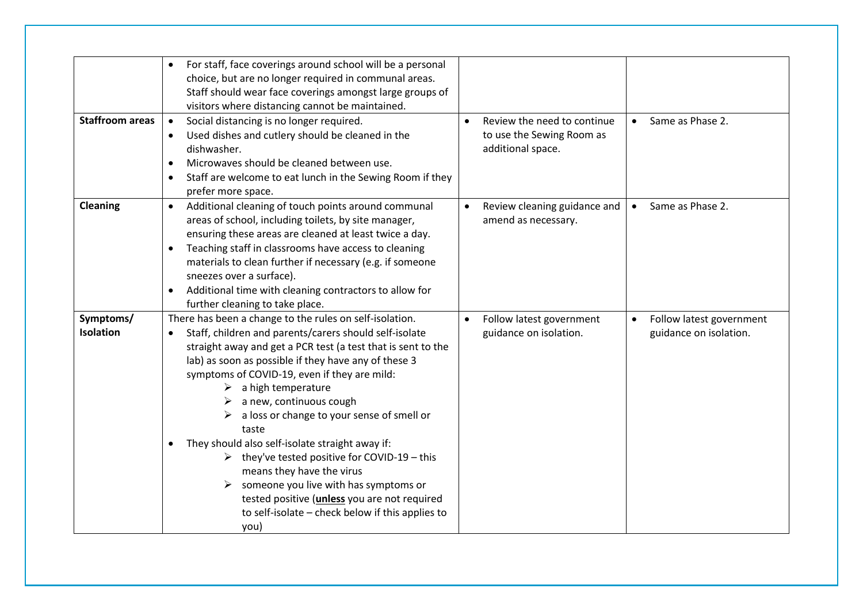| <b>Staffroom areas</b>        | For staff, face coverings around school will be a personal<br>$\bullet$<br>choice, but are no longer required in communal areas.<br>Staff should wear face coverings amongst large groups of<br>visitors where distancing cannot be maintained.<br>Social distancing is no longer required.<br>$\bullet$<br>Used dishes and cutlery should be cleaned in the<br>$\bullet$<br>dishwasher.<br>Microwaves should be cleaned between use.<br>$\bullet$<br>Staff are welcome to eat lunch in the Sewing Room if they<br>$\bullet$<br>prefer more space.                                                                                                                                                                                                             | Review the need to continue<br>$\bullet$<br>to use the Sewing Room as<br>additional space. | • Same as Phase 2.                                 |
|-------------------------------|----------------------------------------------------------------------------------------------------------------------------------------------------------------------------------------------------------------------------------------------------------------------------------------------------------------------------------------------------------------------------------------------------------------------------------------------------------------------------------------------------------------------------------------------------------------------------------------------------------------------------------------------------------------------------------------------------------------------------------------------------------------|--------------------------------------------------------------------------------------------|----------------------------------------------------|
| Cleaning                      | Additional cleaning of touch points around communal<br>$\bullet$<br>areas of school, including toilets, by site manager,<br>ensuring these areas are cleaned at least twice a day.<br>Teaching staff in classrooms have access to cleaning<br>$\bullet$<br>materials to clean further if necessary (e.g. if someone<br>sneezes over a surface).<br>Additional time with cleaning contractors to allow for<br>$\bullet$<br>further cleaning to take place.                                                                                                                                                                                                                                                                                                      | Review cleaning guidance and<br>$\bullet$<br>amend as necessary.                           | Same as Phase 2.<br>$\bullet$                      |
| Symptoms/<br><b>Isolation</b> | There has been a change to the rules on self-isolation.<br>Staff, children and parents/carers should self-isolate<br>$\bullet$<br>straight away and get a PCR test (a test that is sent to the<br>lab) as soon as possible if they have any of these 3<br>symptoms of COVID-19, even if they are mild:<br>a high temperature<br>➤<br>a new, continuous cough<br>$\triangleright$ a loss or change to your sense of smell or<br>taste<br>They should also self-isolate straight away if:<br>$\bullet$<br>$\triangleright$ they've tested positive for COVID-19 - this<br>means they have the virus<br>someone you live with has symptoms or<br>tested positive ( <i>unless</i> you are not required<br>to self-isolate - check below if this applies to<br>you) | Follow latest government<br>guidance on isolation.                                         | Follow latest government<br>guidance on isolation. |